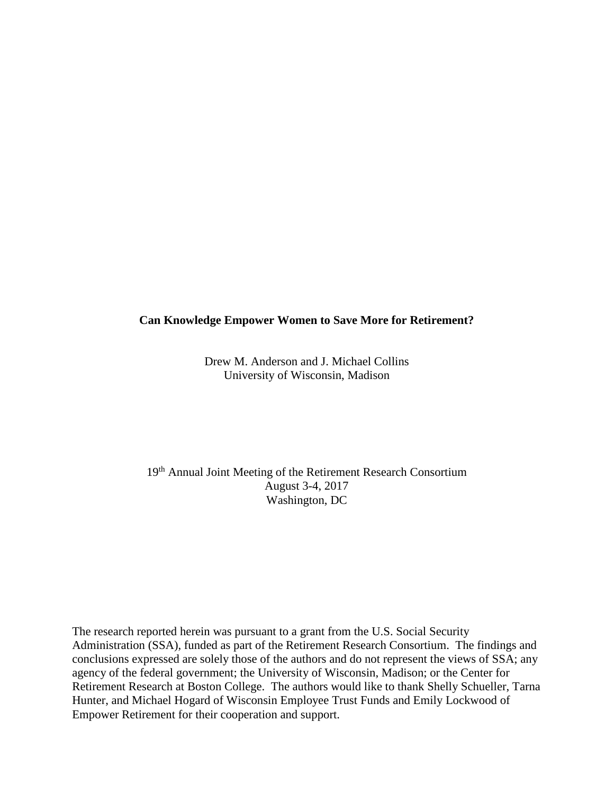# **Can Knowledge Empower Women to Save More for Retirement?**

Drew M. Anderson and J. Michael Collins University of Wisconsin, Madison

19th Annual Joint Meeting of the Retirement Research Consortium August 3-4, 2017 Washington, DC

The research reported herein was pursuant to a grant from the U.S. Social Security Administration (SSA), funded as part of the Retirement Research Consortium. The findings and conclusions expressed are solely those of the authors and do not represent the views of SSA; any agency of the federal government; the University of Wisconsin, Madison; or the Center for Retirement Research at Boston College. The authors would like to thank Shelly Schueller, Tarna Hunter, and Michael Hogard of Wisconsin Employee Trust Funds and Emily Lockwood of Empower Retirement for their cooperation and support.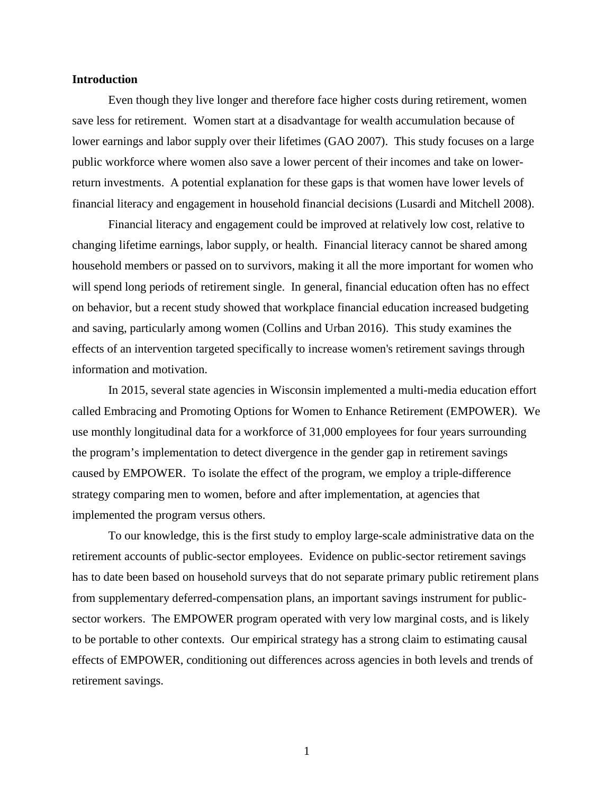### **Introduction**

Even though they live longer and therefore face higher costs during retirement, women save less for retirement. Women start at a disadvantage for wealth accumulation because of lower earnings and labor supply over their lifetimes (GAO 2007). This study focuses on a large public workforce where women also save a lower percent of their incomes and take on lowerreturn investments. A potential explanation for these gaps is that women have lower levels of financial literacy and engagement in household financial decisions (Lusardi and Mitchell 2008).

Financial literacy and engagement could be improved at relatively low cost, relative to changing lifetime earnings, labor supply, or health. Financial literacy cannot be shared among household members or passed on to survivors, making it all the more important for women who will spend long periods of retirement single. In general, financial education often has no effect on behavior, but a recent study showed that workplace financial education increased budgeting and saving, particularly among women (Collins and Urban 2016). This study examines the effects of an intervention targeted specifically to increase women's retirement savings through information and motivation.

In 2015, several state agencies in Wisconsin implemented a multi-media education effort called Embracing and Promoting Options for Women to Enhance Retirement (EMPOWER). We use monthly longitudinal data for a workforce of 31,000 employees for four years surrounding the program's implementation to detect divergence in the gender gap in retirement savings caused by EMPOWER. To isolate the effect of the program, we employ a triple-difference strategy comparing men to women, before and after implementation, at agencies that implemented the program versus others.

To our knowledge, this is the first study to employ large-scale administrative data on the retirement accounts of public-sector employees. Evidence on public-sector retirement savings has to date been based on household surveys that do not separate primary public retirement plans from supplementary deferred-compensation plans, an important savings instrument for publicsector workers. The EMPOWER program operated with very low marginal costs, and is likely to be portable to other contexts. Our empirical strategy has a strong claim to estimating causal effects of EMPOWER, conditioning out differences across agencies in both levels and trends of retirement savings.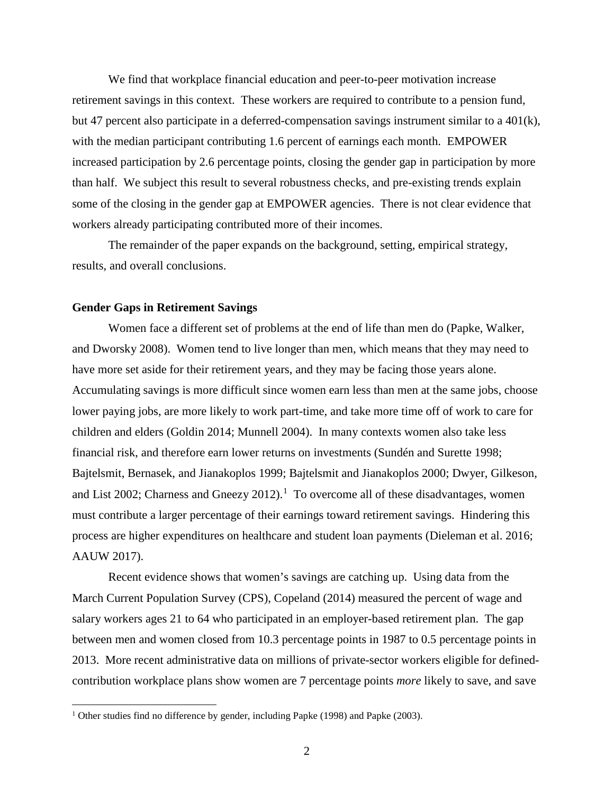We find that workplace financial education and peer-to-peer motivation increase retirement savings in this context. These workers are required to contribute to a pension fund, but 47 percent also participate in a deferred-compensation savings instrument similar to a 401(k), with the median participant contributing 1.6 percent of earnings each month. EMPOWER increased participation by 2.6 percentage points, closing the gender gap in participation by more than half. We subject this result to several robustness checks, and pre-existing trends explain some of the closing in the gender gap at EMPOWER agencies. There is not clear evidence that workers already participating contributed more of their incomes.

The remainder of the paper expands on the background, setting, empirical strategy, results, and overall conclusions.

#### **Gender Gaps in Retirement Savings**

l

Women face a different set of problems at the end of life than men do (Papke, Walker, and Dworsky 2008). Women tend to live longer than men, which means that they may need to have more set aside for their retirement years, and they may be facing those years alone. Accumulating savings is more difficult since women earn less than men at the same jobs, choose lower paying jobs, are more likely to work part-time, and take more time off of work to care for children and elders (Goldin 2014; Munnell 2004). In many contexts women also take less financial risk, and therefore earn lower returns on investments (Sundén and Surette 1998; Bajtelsmit, Bernasek, and Jianakoplos 1999; Bajtelsmit and Jianakoplos 2000; Dwyer, Gilkeson, and List 2002; Charness and Gneezy 20[1](#page-2-0)2).<sup>1</sup> To overcome all of these disadvantages, women must contribute a larger percentage of their earnings toward retirement savings. Hindering this process are higher expenditures on healthcare and student loan payments (Dieleman et al. 2016; AAUW 2017).

Recent evidence shows that women's savings are catching up. Using data from the March Current Population Survey (CPS), Copeland (2014) measured the percent of wage and salary workers ages 21 to 64 who participated in an employer-based retirement plan. The gap between men and women closed from 10.3 percentage points in 1987 to 0.5 percentage points in 2013. More recent administrative data on millions of private-sector workers eligible for definedcontribution workplace plans show women are 7 percentage points *more* likely to save, and save

<span id="page-2-0"></span><sup>&</sup>lt;sup>1</sup> Other studies find no difference by gender, including Papke (1998) and Papke (2003).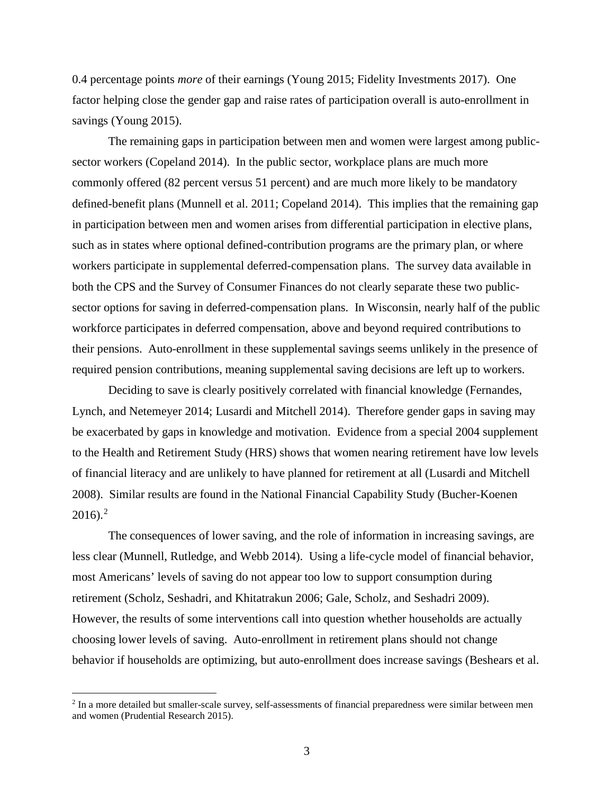0.4 percentage points *more* of their earnings (Young 2015; Fidelity Investments 2017). One factor helping close the gender gap and raise rates of participation overall is auto-enrollment in savings (Young 2015).

The remaining gaps in participation between men and women were largest among publicsector workers (Copeland 2014). In the public sector, workplace plans are much more commonly offered (82 percent versus 51 percent) and are much more likely to be mandatory defined-benefit plans (Munnell et al. 2011; Copeland 2014). This implies that the remaining gap in participation between men and women arises from differential participation in elective plans, such as in states where optional defined-contribution programs are the primary plan, or where workers participate in supplemental deferred-compensation plans. The survey data available in both the CPS and the Survey of Consumer Finances do not clearly separate these two publicsector options for saving in deferred-compensation plans. In Wisconsin, nearly half of the public workforce participates in deferred compensation, above and beyond required contributions to their pensions. Auto-enrollment in these supplemental savings seems unlikely in the presence of required pension contributions, meaning supplemental saving decisions are left up to workers.

Deciding to save is clearly positively correlated with financial knowledge (Fernandes, Lynch, and Netemeyer 2014; Lusardi and Mitchell 2014). Therefore gender gaps in saving may be exacerbated by gaps in knowledge and motivation. Evidence from a special 2004 supplement to the Health and Retirement Study (HRS) shows that women nearing retirement have low levels of financial literacy and are unlikely to have planned for retirement at all (Lusardi and Mitchell 2008). Similar results are found in the National Financial Capability Study (Bucher-Koenen  $2016$  $2016$ ).<sup>2</sup>

The consequences of lower saving, and the role of information in increasing savings, are less clear (Munnell, Rutledge, and Webb 2014). Using a life-cycle model of financial behavior, most Americans' levels of saving do not appear too low to support consumption during retirement (Scholz, Seshadri, and Khitatrakun 2006; Gale, Scholz, and Seshadri 2009). However, the results of some interventions call into question whether households are actually choosing lower levels of saving. Auto-enrollment in retirement plans should not change behavior if households are optimizing, but auto-enrollment does increase savings (Beshears et al.

l

<span id="page-3-0"></span><sup>2</sup> In a more detailed but smaller-scale survey, self-assessments of financial preparedness were similar between men and women (Prudential Research 2015).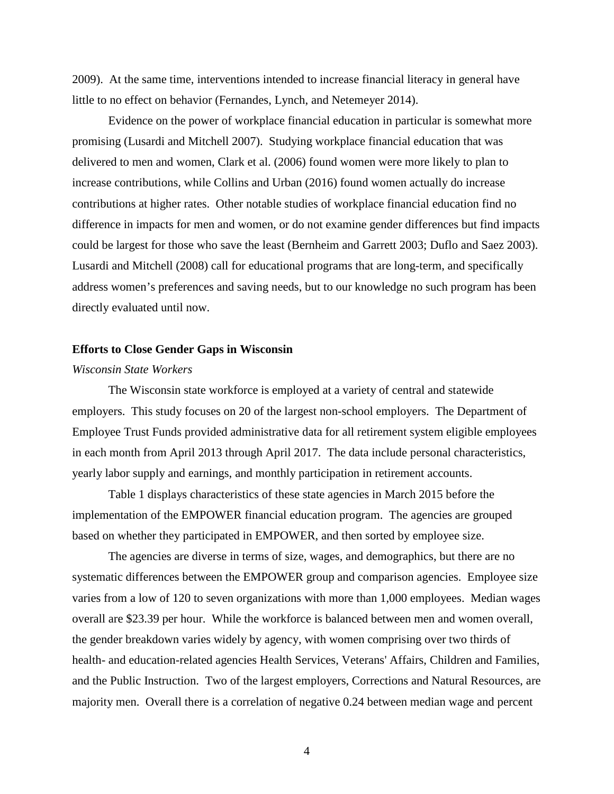2009). At the same time, interventions intended to increase financial literacy in general have little to no effect on behavior (Fernandes, Lynch, and Netemeyer 2014).

Evidence on the power of workplace financial education in particular is somewhat more promising (Lusardi and Mitchell 2007). Studying workplace financial education that was delivered to men and women, Clark et al. (2006) found women were more likely to plan to increase contributions, while Collins and Urban (2016) found women actually do increase contributions at higher rates. Other notable studies of workplace financial education find no difference in impacts for men and women, or do not examine gender differences but find impacts could be largest for those who save the least (Bernheim and Garrett 2003; Duflo and Saez 2003). Lusardi and Mitchell (2008) call for educational programs that are long-term, and specifically address women's preferences and saving needs, but to our knowledge no such program has been directly evaluated until now.

### **Efforts to Close Gender Gaps in Wisconsin**

# *Wisconsin State Workers*

The Wisconsin state workforce is employed at a variety of central and statewide employers. This study focuses on 20 of the largest non-school employers. The Department of Employee Trust Funds provided administrative data for all retirement system eligible employees in each month from April 2013 through April 2017. The data include personal characteristics, yearly labor supply and earnings, and monthly participation in retirement accounts.

Table 1 displays characteristics of these state agencies in March 2015 before the implementation of the EMPOWER financial education program. The agencies are grouped based on whether they participated in EMPOWER, and then sorted by employee size.

The agencies are diverse in terms of size, wages, and demographics, but there are no systematic differences between the EMPOWER group and comparison agencies. Employee size varies from a low of 120 to seven organizations with more than 1,000 employees. Median wages overall are \$23.39 per hour. While the workforce is balanced between men and women overall, the gender breakdown varies widely by agency, with women comprising over two thirds of health- and education-related agencies Health Services, Veterans' Affairs, Children and Families, and the Public Instruction. Two of the largest employers, Corrections and Natural Resources, are majority men. Overall there is a correlation of negative 0.24 between median wage and percent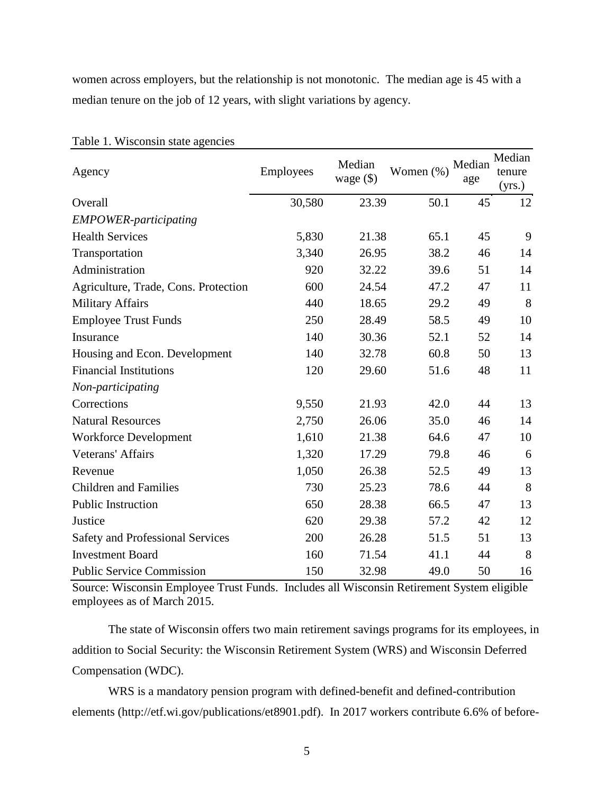women across employers, but the relationship is not monotonic. The median age is 45 with a median tenure on the job of 12 years, with slight variations by agency.

| Agency                               | <b>Employees</b> | Median<br>wage $(\$)$ | Women (%) | Median<br>age | Median<br>tenure<br>(yrs.) |
|--------------------------------------|------------------|-----------------------|-----------|---------------|----------------------------|
| Overall                              | 30,580           | 23.39                 | 50.1      | 45            | 12                         |
| <b>EMPOWER-participating</b>         |                  |                       |           |               |                            |
| <b>Health Services</b>               | 5,830            | 21.38                 | 65.1      | 45            | 9                          |
| Transportation                       | 3,340            | 26.95                 | 38.2      | 46            | 14                         |
| Administration                       | 920              | 32.22                 | 39.6      | 51            | 14                         |
| Agriculture, Trade, Cons. Protection | 600              | 24.54                 | 47.2      | 47            | 11                         |
| <b>Military Affairs</b>              | 440              | 18.65                 | 29.2      | 49            | 8                          |
| <b>Employee Trust Funds</b>          | 250              | 28.49                 | 58.5      | 49            | 10                         |
| Insurance                            | 140              | 30.36                 | 52.1      | 52            | 14                         |
| Housing and Econ. Development        | 140              | 32.78                 | 60.8      | 50            | 13                         |
| <b>Financial Institutions</b>        | 120              | 29.60                 | 51.6      | 48            | 11                         |
| Non-participating                    |                  |                       |           |               |                            |
| Corrections                          | 9,550            | 21.93                 | 42.0      | 44            | 13                         |
| <b>Natural Resources</b>             | 2,750            | 26.06                 | 35.0      | 46            | 14                         |
| <b>Workforce Development</b>         | 1,610            | 21.38                 | 64.6      | 47            | 10                         |
| <b>Veterans' Affairs</b>             | 1,320            | 17.29                 | 79.8      | 46            | 6                          |
| Revenue                              | 1,050            | 26.38                 | 52.5      | 49            | 13                         |
| <b>Children and Families</b>         | 730              | 25.23                 | 78.6      | 44            | 8                          |
| <b>Public Instruction</b>            | 650              | 28.38                 | 66.5      | 47            | 13                         |
| Justice                              | 620              | 29.38                 | 57.2      | 42            | 12                         |
| Safety and Professional Services     | 200              | 26.28                 | 51.5      | 51            | 13                         |
| <b>Investment Board</b>              | 160              | 71.54                 | 41.1      | 44            | 8                          |
| <b>Public Service Commission</b>     | 150              | 32.98                 | 49.0      | 50            | 16                         |

Table 1. Wisconsin state agencies

Source: Wisconsin Employee Trust Funds. Includes all Wisconsin Retirement System eligible employees as of March 2015.

The state of Wisconsin offers two main retirement savings programs for its employees, in addition to Social Security: the Wisconsin Retirement System (WRS) and Wisconsin Deferred Compensation (WDC).

WRS is a mandatory pension program with defined-benefit and defined-contribution elements (http://etf.wi.gov/publications/et8901.pdf). In 2017 workers contribute 6.6% of before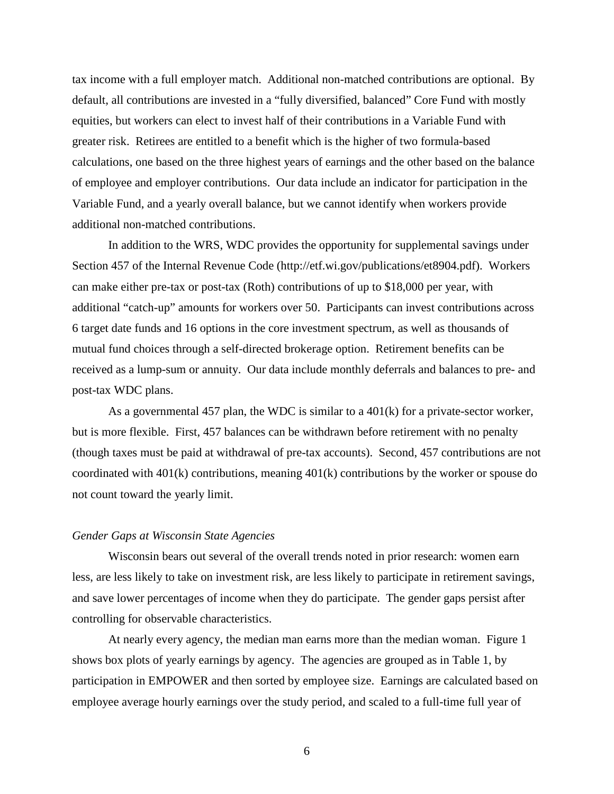tax income with a full employer match. Additional non-matched contributions are optional. By default, all contributions are invested in a "fully diversified, balanced" Core Fund with mostly equities, but workers can elect to invest half of their contributions in a Variable Fund with greater risk. Retirees are entitled to a benefit which is the higher of two formula-based calculations, one based on the three highest years of earnings and the other based on the balance of employee and employer contributions. Our data include an indicator for participation in the Variable Fund, and a yearly overall balance, but we cannot identify when workers provide additional non-matched contributions.

In addition to the WRS, WDC provides the opportunity for supplemental savings under Section 457 of the Internal Revenue Code (http://etf.wi.gov/publications/et8904.pdf). Workers can make either pre-tax or post-tax (Roth) contributions of up to \$18,000 per year, with additional "catch-up" amounts for workers over 50. Participants can invest contributions across 6 target date funds and 16 options in the core investment spectrum, as well as thousands of mutual fund choices through a self-directed brokerage option. Retirement benefits can be received as a lump-sum or annuity. Our data include monthly deferrals and balances to pre- and post-tax WDC plans.

As a governmental 457 plan, the WDC is similar to a 401(k) for a private-sector worker, but is more flexible. First, 457 balances can be withdrawn before retirement with no penalty (though taxes must be paid at withdrawal of pre-tax accounts). Second, 457 contributions are not coordinated with 401(k) contributions, meaning 401(k) contributions by the worker or spouse do not count toward the yearly limit.

#### *Gender Gaps at Wisconsin State Agencies*

Wisconsin bears out several of the overall trends noted in prior research: women earn less, are less likely to take on investment risk, are less likely to participate in retirement savings, and save lower percentages of income when they do participate. The gender gaps persist after controlling for observable characteristics.

At nearly every agency, the median man earns more than the median woman. Figure 1 shows box plots of yearly earnings by agency. The agencies are grouped as in Table 1, by participation in EMPOWER and then sorted by employee size. Earnings are calculated based on employee average hourly earnings over the study period, and scaled to a full-time full year of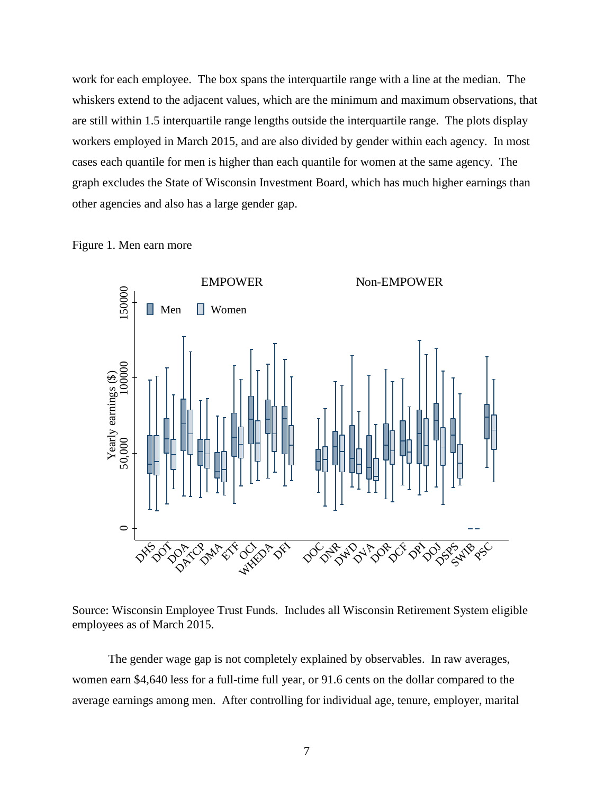work for each employee. The box spans the interquartile range with a line at the median. The whiskers extend to the adjacent values, which are the minimum and maximum observations, that are still within 1.5 interquartile range lengths outside the interquartile range. The plots display workers employed in March 2015, and are also divided by gender within each agency. In most cases each quantile for men is higher than each quantile for women at the same agency. The graph excludes the State of Wisconsin Investment Board, which has much higher earnings than other agencies and also has a large gender gap.





Source: Wisconsin Employee Trust Funds. Includes all Wisconsin Retirement System eligible employees as of March 2015.

The gender wage gap is not completely explained by observables. In raw averages, women earn \$4,640 less for a full-time full year, or 91.6 cents on the dollar compared to the average earnings among men. After controlling for individual age, tenure, employer, marital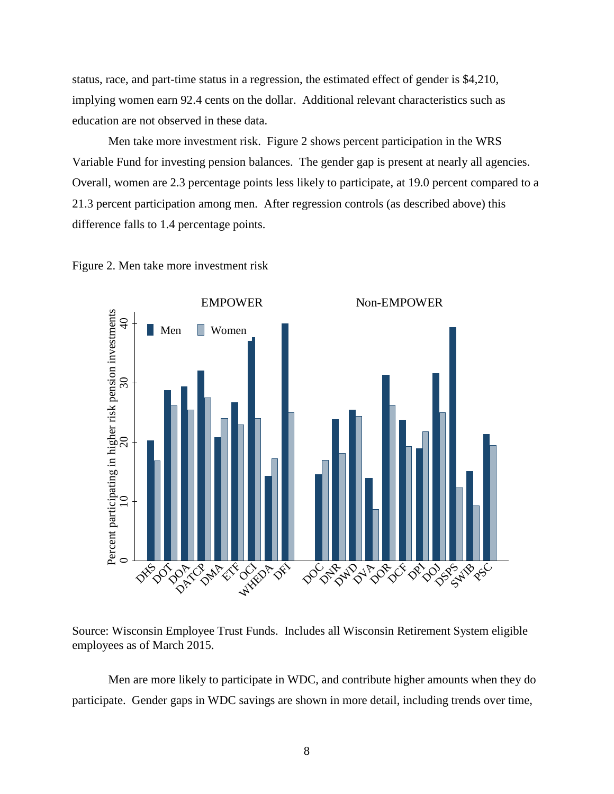status, race, and part-time status in a regression, the estimated effect of gender is \$4,210, implying women earn 92.4 cents on the dollar. Additional relevant characteristics such as education are not observed in these data.

Men take more investment risk. Figure 2 shows percent participation in the WRS Variable Fund for investing pension balances. The gender gap is present at nearly all agencies. Overall, women are 2.3 percentage points less likely to participate, at 19.0 percent compared to a 21.3 percent participation among men. After regression controls (as described above) this difference falls to 1.4 percentage points.





Source: Wisconsin Employee Trust Funds. Includes all Wisconsin Retirement System eligible employees as of March 2015.

Men are more likely to participate in WDC, and contribute higher amounts when they do participate. Gender gaps in WDC savings are shown in more detail, including trends over time,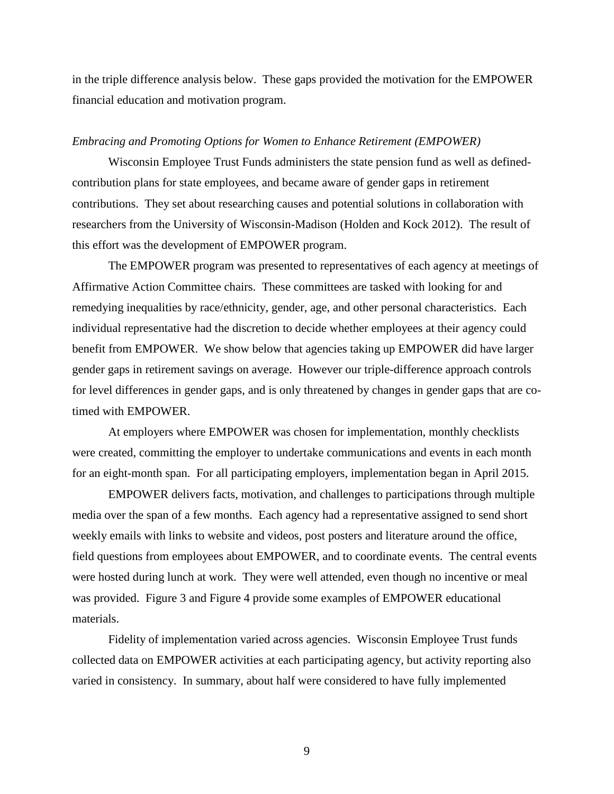in the triple difference analysis below. These gaps provided the motivation for the EMPOWER financial education and motivation program.

#### *Embracing and Promoting Options for Women to Enhance Retirement (EMPOWER)*

Wisconsin Employee Trust Funds administers the state pension fund as well as definedcontribution plans for state employees, and became aware of gender gaps in retirement contributions. They set about researching causes and potential solutions in collaboration with researchers from the University of Wisconsin-Madison (Holden and Kock 2012). The result of this effort was the development of EMPOWER program.

The EMPOWER program was presented to representatives of each agency at meetings of Affirmative Action Committee chairs. These committees are tasked with looking for and remedying inequalities by race/ethnicity, gender, age, and other personal characteristics. Each individual representative had the discretion to decide whether employees at their agency could benefit from EMPOWER. We show below that agencies taking up EMPOWER did have larger gender gaps in retirement savings on average. However our triple-difference approach controls for level differences in gender gaps, and is only threatened by changes in gender gaps that are cotimed with EMPOWER.

At employers where EMPOWER was chosen for implementation, monthly checklists were created, committing the employer to undertake communications and events in each month for an eight-month span. For all participating employers, implementation began in April 2015.

EMPOWER delivers facts, motivation, and challenges to participations through multiple media over the span of a few months. Each agency had a representative assigned to send short weekly emails with links to website and videos, post posters and literature around the office, field questions from employees about EMPOWER, and to coordinate events. The central events were hosted during lunch at work. They were well attended, even though no incentive or meal was provided. Figure 3 and Figure 4 provide some examples of EMPOWER educational materials.

Fidelity of implementation varied across agencies. Wisconsin Employee Trust funds collected data on EMPOWER activities at each participating agency, but activity reporting also varied in consistency. In summary, about half were considered to have fully implemented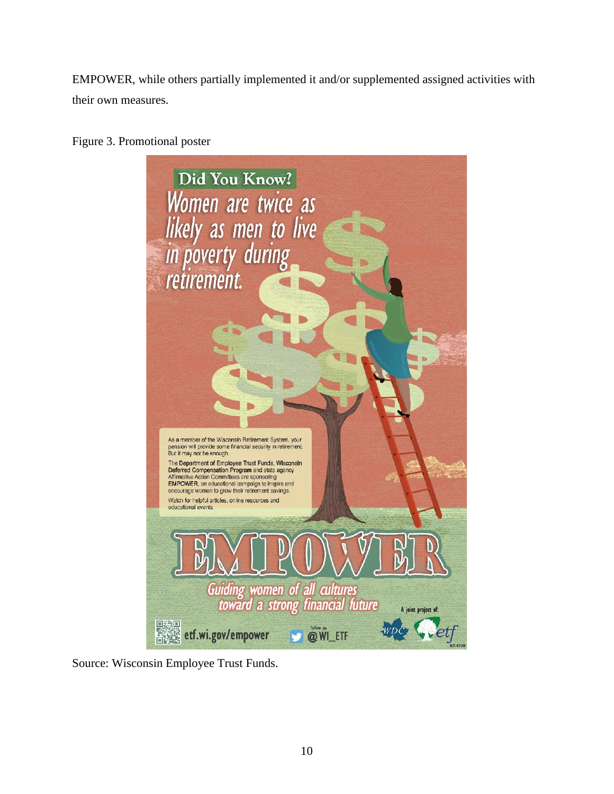EMPOWER, while others partially implemented it and/or supplemented assigned activities with their own measures.



Figure 3. Promotional poster

Source: Wisconsin Employee Trust Funds.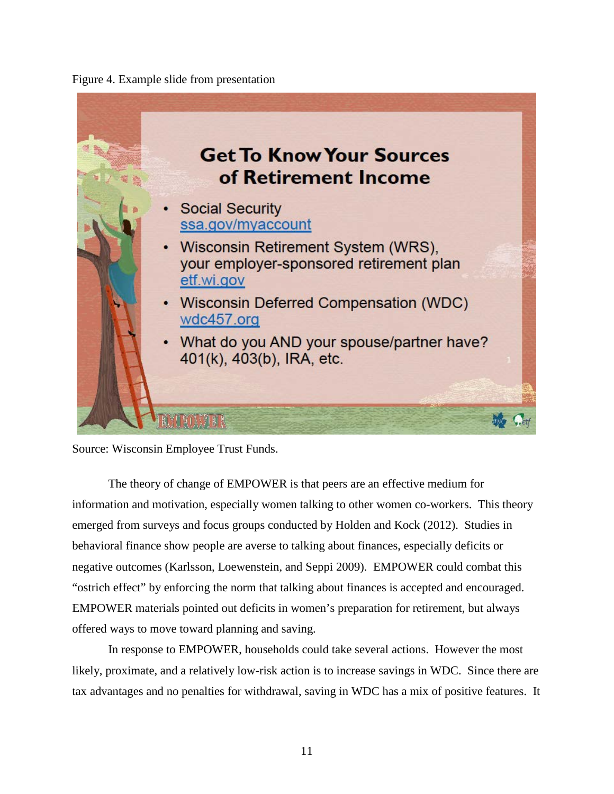



Source: Wisconsin Employee Trust Funds.

The theory of change of EMPOWER is that peers are an effective medium for information and motivation, especially women talking to other women co-workers. This theory emerged from surveys and focus groups conducted by Holden and Kock (2012). Studies in behavioral finance show people are averse to talking about finances, especially deficits or negative outcomes (Karlsson, Loewenstein, and Seppi 2009). EMPOWER could combat this "ostrich effect" by enforcing the norm that talking about finances is accepted and encouraged. EMPOWER materials pointed out deficits in women's preparation for retirement, but always offered ways to move toward planning and saving.

In response to EMPOWER, households could take several actions. However the most likely, proximate, and a relatively low-risk action is to increase savings in WDC. Since there are tax advantages and no penalties for withdrawal, saving in WDC has a mix of positive features. It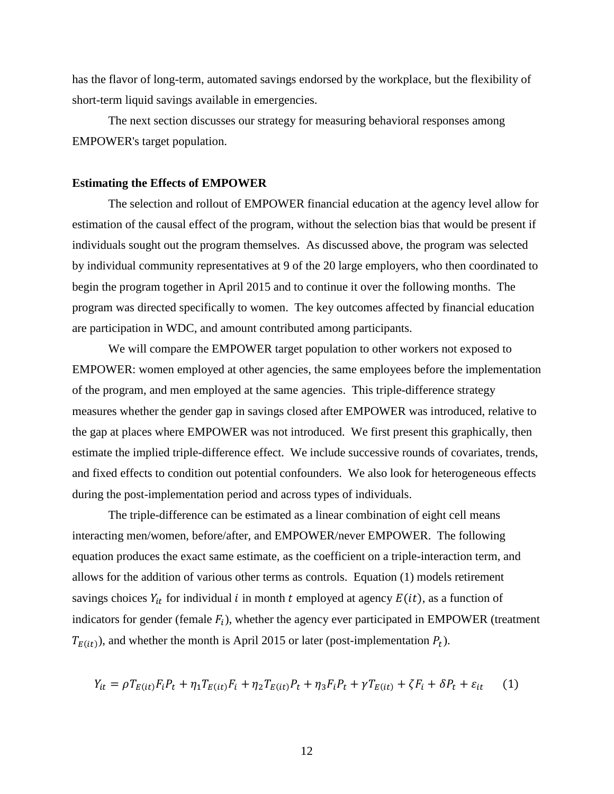has the flavor of long-term, automated savings endorsed by the workplace, but the flexibility of short-term liquid savings available in emergencies.

The next section discusses our strategy for measuring behavioral responses among EMPOWER's target population.

#### **Estimating the Effects of EMPOWER**

The selection and rollout of EMPOWER financial education at the agency level allow for estimation of the causal effect of the program, without the selection bias that would be present if individuals sought out the program themselves. As discussed above, the program was selected by individual community representatives at 9 of the 20 large employers, who then coordinated to begin the program together in April 2015 and to continue it over the following months. The program was directed specifically to women. The key outcomes affected by financial education are participation in WDC, and amount contributed among participants.

We will compare the EMPOWER target population to other workers not exposed to EMPOWER: women employed at other agencies, the same employees before the implementation of the program, and men employed at the same agencies. This triple-difference strategy measures whether the gender gap in savings closed after EMPOWER was introduced, relative to the gap at places where EMPOWER was not introduced. We first present this graphically, then estimate the implied triple-difference effect. We include successive rounds of covariates, trends, and fixed effects to condition out potential confounders. We also look for heterogeneous effects during the post-implementation period and across types of individuals.

The triple-difference can be estimated as a linear combination of eight cell means interacting men/women, before/after, and EMPOWER/never EMPOWER. The following equation produces the exact same estimate, as the coefficient on a triple-interaction term, and allows for the addition of various other terms as controls. Equation (1) models retirement savings choices  $Y_{it}$  for individual *i* in month *t* employed at agency  $E(it)$ , as a function of indicators for gender (female  $F_i$ ), whether the agency ever participated in EMPOWER (treatment  $T_{E(it)}$ , and whether the month is April 2015 or later (post-implementation  $P_t$ ).

$$
Y_{it} = \rho T_{E(it)} F_i P_t + \eta_1 T_{E(it)} F_i + \eta_2 T_{E(it)} P_t + \eta_3 F_i P_t + \gamma T_{E(it)} + \zeta F_i + \delta P_t + \varepsilon_{it} \tag{1}
$$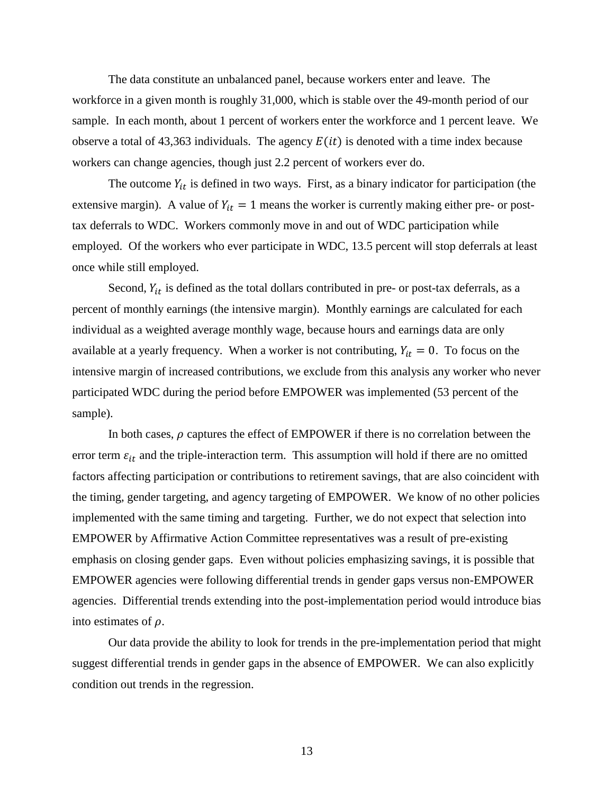The data constitute an unbalanced panel, because workers enter and leave. The workforce in a given month is roughly 31,000, which is stable over the 49-month period of our sample. In each month, about 1 percent of workers enter the workforce and 1 percent leave. We observe a total of 43,363 individuals. The agency  $E(it)$  is denoted with a time index because workers can change agencies, though just 2.2 percent of workers ever do.

The outcome  $Y_{it}$  is defined in two ways. First, as a binary indicator for participation (the extensive margin). A value of  $Y_{it} = 1$  means the worker is currently making either pre- or posttax deferrals to WDC. Workers commonly move in and out of WDC participation while employed. Of the workers who ever participate in WDC, 13.5 percent will stop deferrals at least once while still employed.

Second,  $Y_{it}$  is defined as the total dollars contributed in pre- or post-tax deferrals, as a percent of monthly earnings (the intensive margin). Monthly earnings are calculated for each individual as a weighted average monthly wage, because hours and earnings data are only available at a yearly frequency. When a worker is not contributing,  $Y_{it} = 0$ . To focus on the intensive margin of increased contributions, we exclude from this analysis any worker who never participated WDC during the period before EMPOWER was implemented (53 percent of the sample).

In both cases,  $\rho$  captures the effect of EMPOWER if there is no correlation between the error term  $\varepsilon_{it}$  and the triple-interaction term. This assumption will hold if there are no omitted factors affecting participation or contributions to retirement savings, that are also coincident with the timing, gender targeting, and agency targeting of EMPOWER. We know of no other policies implemented with the same timing and targeting. Further, we do not expect that selection into EMPOWER by Affirmative Action Committee representatives was a result of pre-existing emphasis on closing gender gaps. Even without policies emphasizing savings, it is possible that EMPOWER agencies were following differential trends in gender gaps versus non-EMPOWER agencies. Differential trends extending into the post-implementation period would introduce bias into estimates of  $\rho$ .

Our data provide the ability to look for trends in the pre-implementation period that might suggest differential trends in gender gaps in the absence of EMPOWER. We can also explicitly condition out trends in the regression.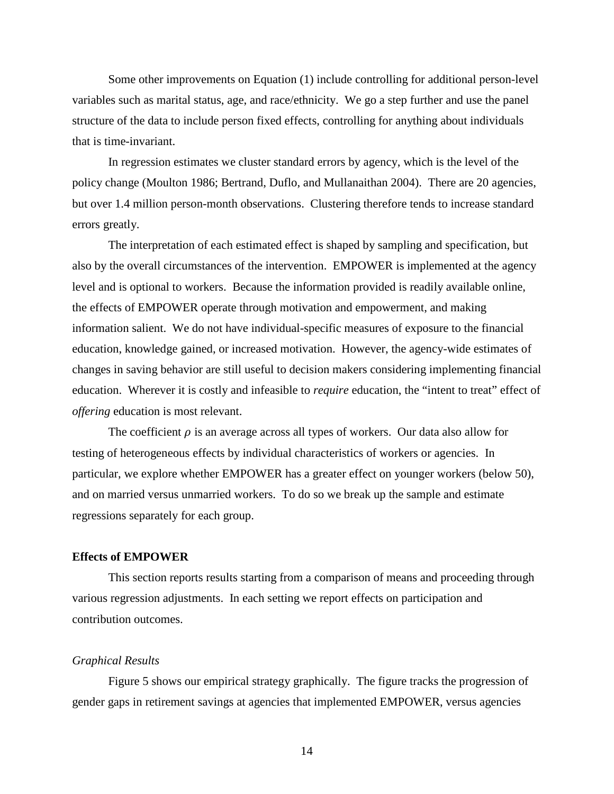Some other improvements on Equation (1) include controlling for additional person-level variables such as marital status, age, and race/ethnicity. We go a step further and use the panel structure of the data to include person fixed effects, controlling for anything about individuals that is time-invariant.

In regression estimates we cluster standard errors by agency, which is the level of the policy change (Moulton 1986; Bertrand, Duflo, and Mullanaithan 2004). There are 20 agencies, but over 1.4 million person-month observations. Clustering therefore tends to increase standard errors greatly.

The interpretation of each estimated effect is shaped by sampling and specification, but also by the overall circumstances of the intervention. EMPOWER is implemented at the agency level and is optional to workers. Because the information provided is readily available online, the effects of EMPOWER operate through motivation and empowerment, and making information salient. We do not have individual-specific measures of exposure to the financial education, knowledge gained, or increased motivation. However, the agency-wide estimates of changes in saving behavior are still useful to decision makers considering implementing financial education. Wherever it is costly and infeasible to *require* education, the "intent to treat" effect of *offering* education is most relevant.

The coefficient  $\rho$  is an average across all types of workers. Our data also allow for testing of heterogeneous effects by individual characteristics of workers or agencies. In particular, we explore whether EMPOWER has a greater effect on younger workers (below 50), and on married versus unmarried workers. To do so we break up the sample and estimate regressions separately for each group.

# **Effects of EMPOWER**

This section reports results starting from a comparison of means and proceeding through various regression adjustments. In each setting we report effects on participation and contribution outcomes.

## *Graphical Results*

Figure 5 shows our empirical strategy graphically. The figure tracks the progression of gender gaps in retirement savings at agencies that implemented EMPOWER, versus agencies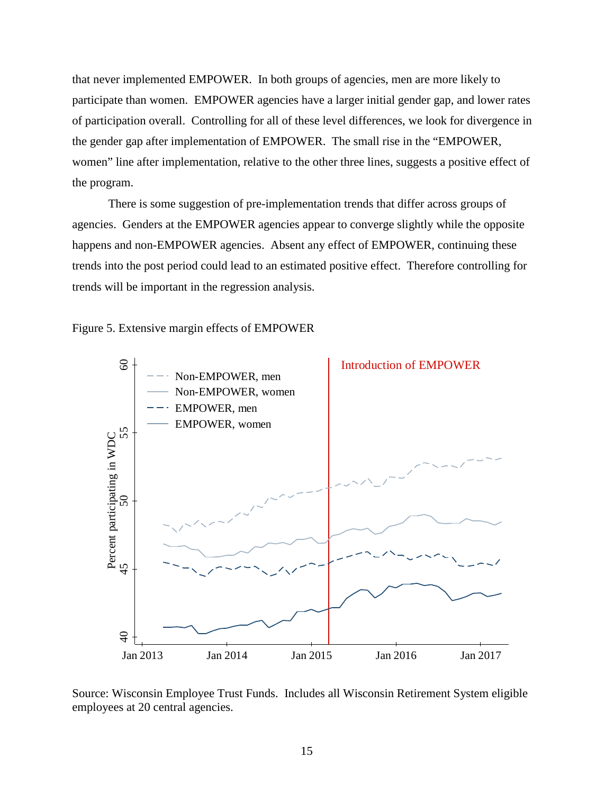that never implemented EMPOWER. In both groups of agencies, men are more likely to participate than women. EMPOWER agencies have a larger initial gender gap, and lower rates of participation overall. Controlling for all of these level differences, we look for divergence in the gender gap after implementation of EMPOWER. The small rise in the "EMPOWER, women" line after implementation, relative to the other three lines, suggests a positive effect of the program.

There is some suggestion of pre-implementation trends that differ across groups of agencies. Genders at the EMPOWER agencies appear to converge slightly while the opposite happens and non-EMPOWER agencies. Absent any effect of EMPOWER, continuing these trends into the post period could lead to an estimated positive effect. Therefore controlling for trends will be important in the regression analysis.

Figure 5. Extensive margin effects of EMPOWER



Source: Wisconsin Employee Trust Funds. Includes all Wisconsin Retirement System eligible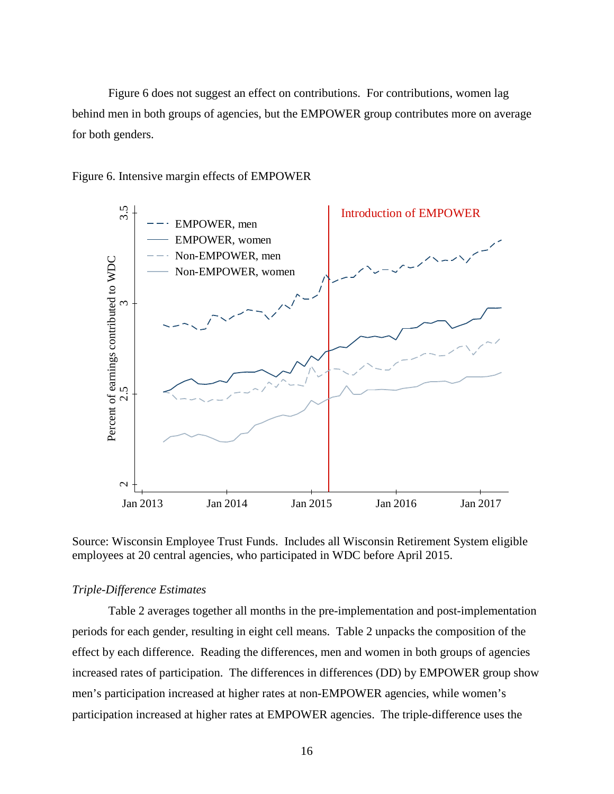Figure 6 does not suggest an effect on contributions. For contributions, women lag behind men in both groups of agencies, but the EMPOWER group contributes more on average for both genders.





Source: Wisconsin Employee Trust Funds. Includes all Wisconsin Retirement System eligible employees at 20 central agencies, who participated in WDC before April 2015.

# *Triple-Difference Estimates*

Table 2 averages together all months in the pre-implementation and post-implementation periods for each gender, resulting in eight cell means. Table 2 unpacks the composition of the effect by each difference. Reading the differences, men and women in both groups of agencies increased rates of participation. The differences in differences (DD) by EMPOWER group show men's participation increased at higher rates at non-EMPOWER agencies, while women's participation increased at higher rates at EMPOWER agencies. The triple-difference uses the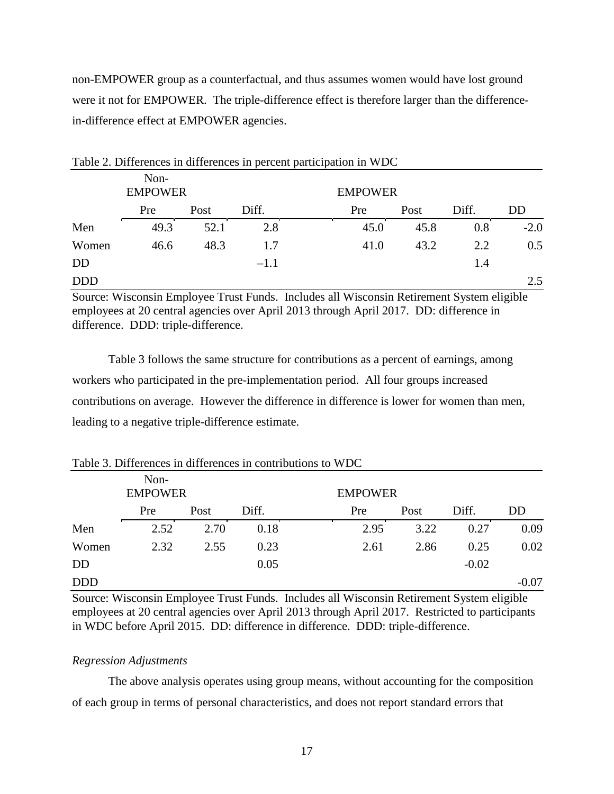non-EMPOWER group as a counterfactual, and thus assumes women would have lost ground were it not for EMPOWER. The triple-difference effect is therefore larger than the differencein-difference effect at EMPOWER agencies.

 $T_{\rm{eff}}$  2. Differences in differences in percent participation in  $T_{\rm{eff}}$ 

|            |                        |      |        | Table 2. Differences in differences in percent participation in WDC |                |       |        |
|------------|------------------------|------|--------|---------------------------------------------------------------------|----------------|-------|--------|
|            | Non-<br><b>EMPOWER</b> |      |        |                                                                     | <b>EMPOWER</b> |       |        |
|            | Pre                    | Post | Diff.  | Pre                                                                 | Post           | Diff. | DD     |
| Men        | 49.3                   | 52.1 | 2.8    | 45.0                                                                | 45.8           | 0.8   | $-2.0$ |
| Women      | 46.6                   | 48.3 | 1.7    | 41.0                                                                | 43.2           | 2.2   | 0.5    |
| <b>DD</b>  |                        |      | $-1.1$ |                                                                     |                | 1.4   |        |
| <b>DDD</b> |                        |      |        |                                                                     |                |       | 2.5    |

Source: Wisconsin Employee Trust Funds. Includes all Wisconsin Retirement System eligible employees at 20 central agencies over April 2013 through April 2017. DD: difference in difference. DDD: triple-difference.

Table 3 follows the same structure for contributions as a percent of earnings, among workers who participated in the pre-implementation period. All four groups increased contributions on average. However the difference in difference is lower for women than men, leading to a negative triple-difference estimate.

|            | Non-<br><b>EMPOWER</b> |      |       | <b>EMPOWER</b> |      |         |         |
|------------|------------------------|------|-------|----------------|------|---------|---------|
|            | Pre                    | Post | Diff. | Pre            | Post | Diff.   | DD      |
| Men        | 2.52                   | 2.70 | 0.18  | 2.95           | 3.22 | 0.27    | 0.09    |
| Women      | 2.32                   | 2.55 | 0.23  | 2.61           | 2.86 | 0.25    | 0.02    |
| <b>DD</b>  |                        |      | 0.05  |                |      | $-0.02$ |         |
| <b>DDD</b> |                        |      |       |                |      |         | $-0.07$ |

Table 3. Differences in differences in contributions to WDC

Source: Wisconsin Employee Trust Funds. Includes all Wisconsin Retirement System eligible employees at 20 central agencies over April 2013 through April 2017. Restricted to participants in WDC before April 2015. DD: difference in difference. DDD: triple-difference.

# *Regression Adjustments*

The above analysis operates using group means, without accounting for the composition of each group in terms of personal characteristics, and does not report standard errors that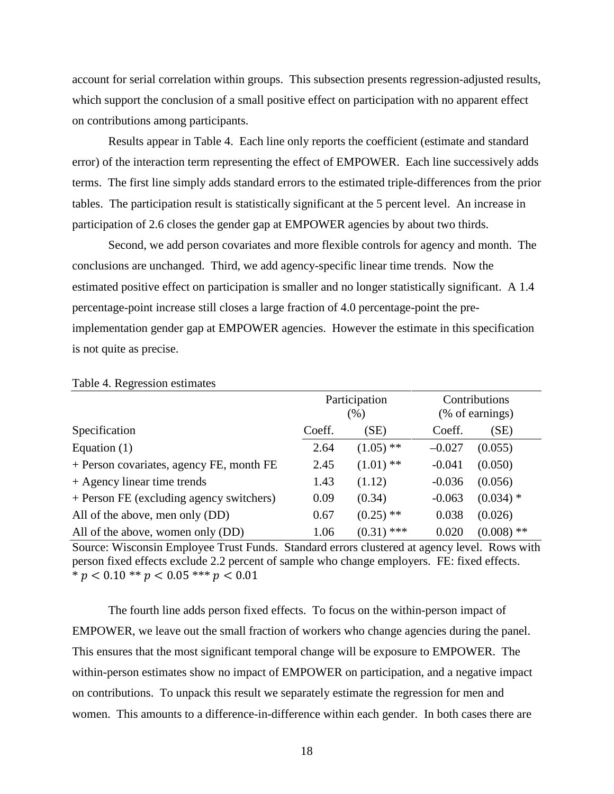account for serial correlation within groups. This subsection presents regression-adjusted results, which support the conclusion of a small positive effect on participation with no apparent effect on contributions among participants.

Results appear in Table 4. Each line only reports the coefficient (estimate and standard error) of the interaction term representing the effect of EMPOWER. Each line successively adds terms. The first line simply adds standard errors to the estimated triple-differences from the prior tables. The participation result is statistically significant at the 5 percent level. An increase in participation of 2.6 closes the gender gap at EMPOWER agencies by about two thirds.

Second, we add person covariates and more flexible controls for agency and month. The conclusions are unchanged. Third, we add agency-specific linear time trends. Now the estimated positive effect on participation is smaller and no longer statistically significant. A 1.4 percentage-point increase still closes a large fraction of 4.0 percentage-point the preimplementation gender gap at EMPOWER agencies. However the estimate in this specification is not quite as precise.

|                                          |        | Participation<br>(% ) | Contributions<br>(% of earnings) |              |  |
|------------------------------------------|--------|-----------------------|----------------------------------|--------------|--|
| Specification                            | Coeff. | (SE)                  | Coeff.                           | (SE)         |  |
| Equation $(1)$                           | 2.64   | $(1.05)$ **           | $-0.027$                         | (0.055)      |  |
| + Person covariates, agency FE, month FE | 2.45   | $(1.01)$ **           | $-0.041$                         | (0.050)      |  |
| + Agency linear time trends              | 1.43   | (1.12)                | $-0.036$                         | (0.056)      |  |
| + Person FE (excluding agency switchers) | 0.09   | (0.34)                | $-0.063$                         | $(0.034)$ *  |  |
| All of the above, men only (DD)          | 0.67   | $(0.25)$ **           | 0.038                            | (0.026)      |  |
| All of the above, women only (DD)        | 1.06   | ***<br>(0.31)         | 0.020                            | $(0.008)$ ** |  |

#### Table 4. Regression estimates

Source: Wisconsin Employee Trust Funds. Standard errors clustered at agency level. Rows with person fixed effects exclude 2.2 percent of sample who change employers. FE: fixed effects.  $* p < 0.10** p < 0.05*** p < 0.01$ 

The fourth line adds person fixed effects. To focus on the within-person impact of EMPOWER, we leave out the small fraction of workers who change agencies during the panel. This ensures that the most significant temporal change will be exposure to EMPOWER. The within-person estimates show no impact of EMPOWER on participation, and a negative impact on contributions. To unpack this result we separately estimate the regression for men and women. This amounts to a difference-in-difference within each gender. In both cases there are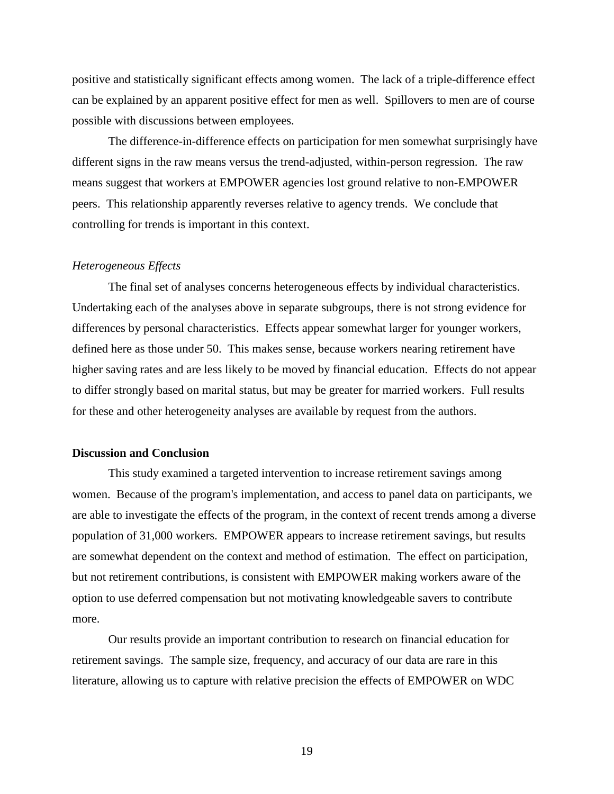positive and statistically significant effects among women. The lack of a triple-difference effect can be explained by an apparent positive effect for men as well. Spillovers to men are of course possible with discussions between employees.

The difference-in-difference effects on participation for men somewhat surprisingly have different signs in the raw means versus the trend-adjusted, within-person regression. The raw means suggest that workers at EMPOWER agencies lost ground relative to non-EMPOWER peers. This relationship apparently reverses relative to agency trends. We conclude that controlling for trends is important in this context.

### *Heterogeneous Effects*

The final set of analyses concerns heterogeneous effects by individual characteristics. Undertaking each of the analyses above in separate subgroups, there is not strong evidence for differences by personal characteristics. Effects appear somewhat larger for younger workers, defined here as those under 50. This makes sense, because workers nearing retirement have higher saving rates and are less likely to be moved by financial education. Effects do not appear to differ strongly based on marital status, but may be greater for married workers. Full results for these and other heterogeneity analyses are available by request from the authors.

# **Discussion and Conclusion**

This study examined a targeted intervention to increase retirement savings among women. Because of the program's implementation, and access to panel data on participants, we are able to investigate the effects of the program, in the context of recent trends among a diverse population of 31,000 workers. EMPOWER appears to increase retirement savings, but results are somewhat dependent on the context and method of estimation. The effect on participation, but not retirement contributions, is consistent with EMPOWER making workers aware of the option to use deferred compensation but not motivating knowledgeable savers to contribute more.

Our results provide an important contribution to research on financial education for retirement savings. The sample size, frequency, and accuracy of our data are rare in this literature, allowing us to capture with relative precision the effects of EMPOWER on WDC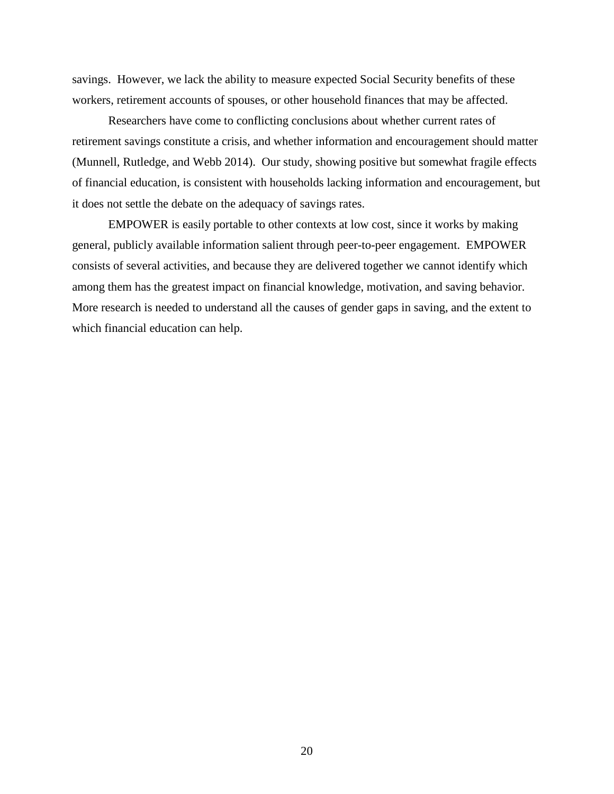savings. However, we lack the ability to measure expected Social Security benefits of these workers, retirement accounts of spouses, or other household finances that may be affected.

Researchers have come to conflicting conclusions about whether current rates of retirement savings constitute a crisis, and whether information and encouragement should matter (Munnell, Rutledge, and Webb 2014). Our study, showing positive but somewhat fragile effects of financial education, is consistent with households lacking information and encouragement, but it does not settle the debate on the adequacy of savings rates.

EMPOWER is easily portable to other contexts at low cost, since it works by making general, publicly available information salient through peer-to-peer engagement. EMPOWER consists of several activities, and because they are delivered together we cannot identify which among them has the greatest impact on financial knowledge, motivation, and saving behavior. More research is needed to understand all the causes of gender gaps in saving, and the extent to which financial education can help.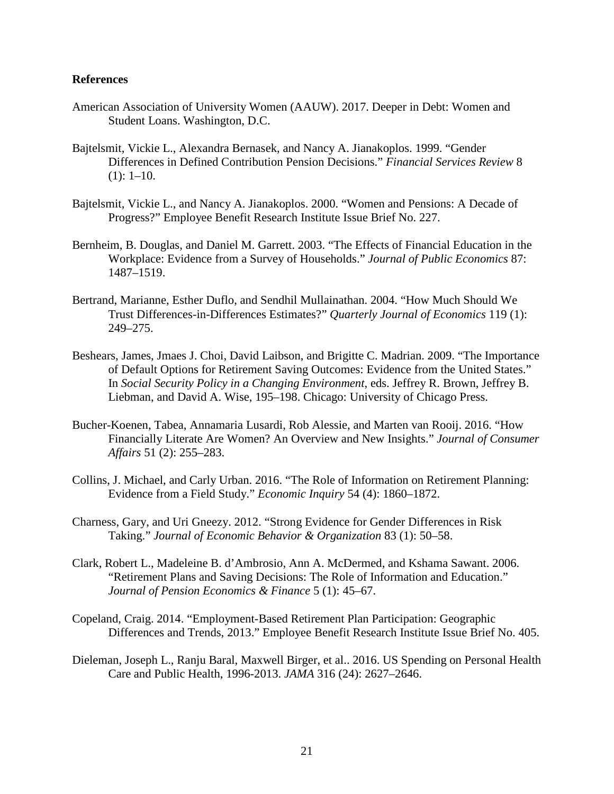# **References**

- American Association of University Women (AAUW). 2017. Deeper in Debt: Women and Student Loans. Washington, D.C.
- Bajtelsmit, Vickie L., Alexandra Bernasek, and Nancy A. Jianakoplos. 1999. "Gender Differences in Defined Contribution Pension Decisions." *Financial Services Review* 8  $(1): 1-10.$
- Bajtelsmit, Vickie L., and Nancy A. Jianakoplos. 2000. "Women and Pensions: A Decade of Progress?" Employee Benefit Research Institute Issue Brief No. 227.
- Bernheim, B. Douglas, and Daniel M. Garrett. 2003. "The Effects of Financial Education in the Workplace: Evidence from a Survey of Households." *Journal of Public Economics* 87: 1487–1519.
- Bertrand, Marianne, Esther Duflo, and Sendhil Mullainathan. 2004. "How Much Should We Trust Differences-in-Differences Estimates?" *Quarterly Journal of Economics* 119 (1): 249–275.
- Beshears, James, Jmaes J. Choi, David Laibson, and Brigitte C. Madrian. 2009. "The Importance of Default Options for Retirement Saving Outcomes: Evidence from the United States." In *Social Security Policy in a Changing Environment*, eds. Jeffrey R. Brown, Jeffrey B. Liebman, and David A. Wise, 195–198. Chicago: University of Chicago Press.
- Bucher-Koenen, Tabea, Annamaria Lusardi, Rob Alessie, and Marten van Rooij. 2016. "How Financially Literate Are Women? An Overview and New Insights." *Journal of Consumer Affairs* 51 (2): 255–283.
- Collins, J. Michael, and Carly Urban. 2016. "The Role of Information on Retirement Planning: Evidence from a Field Study." *Economic Inquiry* 54 (4): 1860–1872.
- Charness, Gary, and Uri Gneezy. 2012. "Strong Evidence for Gender Differences in Risk Taking." *Journal of Economic Behavior & Organization* 83 (1): 50–58.
- Clark, Robert L., Madeleine B. d'Ambrosio, Ann A. McDermed, and Kshama Sawant. 2006. "Retirement Plans and Saving Decisions: The Role of Information and Education." *Journal of Pension Economics & Finance* 5 (1): 45–67.
- Copeland, Craig. 2014. "Employment-Based Retirement Plan Participation: Geographic Differences and Trends, 2013." Employee Benefit Research Institute Issue Brief No. 405.
- Dieleman, Joseph L., Ranju Baral, Maxwell Birger, et al.. 2016. US Spending on Personal Health Care and Public Health, 1996-2013. *JAMA* 316 (24): 2627–2646.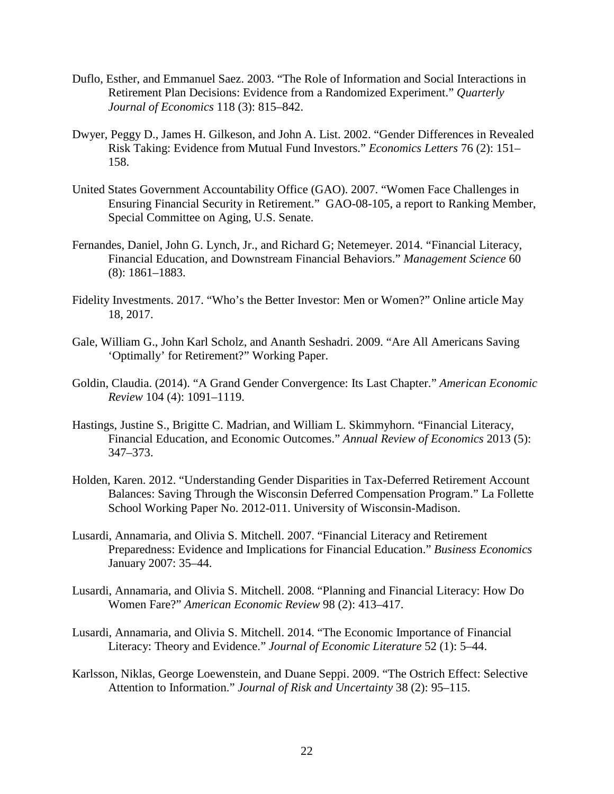- Duflo, Esther, and Emmanuel Saez. 2003. "The Role of Information and Social Interactions in Retirement Plan Decisions: Evidence from a Randomized Experiment." *Quarterly Journal of Economics* 118 (3): 815–842.
- Dwyer, Peggy D., James H. Gilkeson, and John A. List. 2002. "Gender Differences in Revealed Risk Taking: Evidence from Mutual Fund Investors." *Economics Letters* 76 (2): 151– 158.
- United States Government Accountability Office (GAO). 2007. "Women Face Challenges in Ensuring Financial Security in Retirement." GAO-08-105, a report to Ranking Member, Special Committee on Aging, U.S. Senate.
- Fernandes, Daniel, John G. Lynch, Jr., and Richard G; Netemeyer. 2014. "Financial Literacy, Financial Education, and Downstream Financial Behaviors." *Management Science* 60 (8): 1861–1883.
- Fidelity Investments. 2017. "Who's the Better Investor: Men or Women?" Online article May 18, 2017.
- Gale, William G., John Karl Scholz, and Ananth Seshadri. 2009. "Are All Americans Saving 'Optimally' for Retirement?" Working Paper.
- Goldin, Claudia. (2014). "A Grand Gender Convergence: Its Last Chapter." *American Economic Review* 104 (4): 1091–1119.
- Hastings, Justine S., Brigitte C. Madrian, and William L. Skimmyhorn. "Financial Literacy, Financial Education, and Economic Outcomes." *Annual Review of Economics* 2013 (5): 347–373.
- Holden, Karen. 2012. "Understanding Gender Disparities in Tax-Deferred Retirement Account Balances: Saving Through the Wisconsin Deferred Compensation Program." La Follette School Working Paper No. 2012-011. University of Wisconsin-Madison.
- Lusardi, Annamaria, and Olivia S. Mitchell. 2007. "Financial Literacy and Retirement Preparedness: Evidence and Implications for Financial Education." *Business Economics* January 2007: 35–44.
- Lusardi, Annamaria, and Olivia S. Mitchell. 2008. "Planning and Financial Literacy: How Do Women Fare?" *American Economic Review* 98 (2): 413–417.
- Lusardi, Annamaria, and Olivia S. Mitchell. 2014. "The Economic Importance of Financial Literacy: Theory and Evidence." *Journal of Economic Literature* 52 (1): 5–44.
- Karlsson, Niklas, George Loewenstein, and Duane Seppi. 2009. "The Ostrich Effect: Selective Attention to Information." *Journal of Risk and Uncertainty* 38 (2): 95–115.